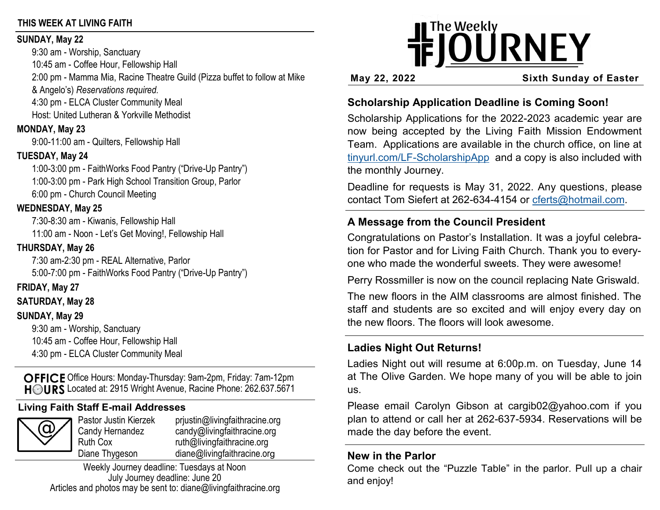#### **THIS WEEK AT LIVING FAITH**

#### **SUNDAY, May 22**

9:30 am - Worship, Sanctuary 10:45 am - Coffee Hour, Fellowship Hall 2:00 pm - Mamma Mia, Racine Theatre Guild (Pizza buffet to follow at Mike & Angelo's) *Reservations required.* 4:30 pm - ELCA Cluster Community Meal Host: United Lutheran & Yorkville Methodist

# **MONDAY, May 23**

9:00-11:00 am - Quilters, Fellowship Hall

# **TUESDAY, May 24**

1:00-3:00 pm - FaithWorks Food Pantry ("Drive-Up Pantry") 1:00-3:00 pm - Park High School Transition Group, Parlor 6:00 pm - Church Council Meeting

### **WEDNESDAY, May 25**

7:30-8:30 am - Kiwanis, Fellowship Hall 11:00 am - Noon - Let's Get Moving!, Fellowship Hall

# **THURSDAY, May 26**

7:30 am-2:30 pm - REAL Alternative, Parlor 5:00-7:00 pm - FaithWorks Food Pantry ("Drive-Up Pantry")

# **FRIDAY, May 27**

**SATURDAY, May 28**

# **SUNDAY, May 29**

9:30 am - Worship, Sanctuary 10:45 am - Coffee Hour, Fellowship Hall 4:30 pm - ELCA Cluster Community Meal

OFFICE Office Hours: Monday-Thursday: 9am-2pm, Friday: 7am-12pm HOURS Located at: 2915 Wright Avenue, Racine Phone: 262.637.5671

# **Living Faith Staff E-mail Addresses**

|--|

Pastor Justin Kierzek prjustin@livingfaithracine.org Candy Hernandez candy@livingfaithracine.org Ruth Cox ruth@livingfaithracine.org Diane Thygeson diane@livingfaithracine.org

Weekly Journey deadline: Tuesdays at Noon July Journey deadline: June 20 Articles and photos may be sent to: diane@livingfaithracine.org

# **IFJOURNEY**

**May 22, 2022 Sixth Sunday of Easter**

# **Scholarship Application Deadline is Coming Soon!**

Scholarship Applications for the 2022-2023 academic year are now being accepted by the Living Faith Mission Endowment Team. Applications are available in the church office, on line at tinyurl.com/LF-[ScholarshipApp](https://tinyurl.com/LF-ScholarshipApp) and a copy is also included with the monthly Journey.

Deadline for requests is May 31, 2022. Any questions, please contact Tom Siefert at 262-634-4154 or [cferts@hotmail.com.](mailto:cferts@hotmail.com)

# **A Message from the Council President**

Congratulations on Pastor's Installation. It was a joyful celebration for Pastor and for Living Faith Church. Thank you to everyone who made the wonderful sweets. They were awesome!

Perry Rossmiller is now on the council replacing Nate Griswald.

The new floors in the AIM classrooms are almost finished. The staff and students are so excited and will enjoy every day on the new floors. The floors will look awesome.

# **Ladies Night Out Returns!**

Ladies Night out will resume at 6:00p.m. on Tuesday, June 14 at The Olive Garden. We hope many of you will be able to join us.

Please email Carolyn Gibson at cargib02@yahoo.com if you plan to attend or call her at 262-637-5934. Reservations will be made the day before the event.

# **New in the Parlor**

Come check out the "Puzzle Table" in the parlor. Pull up a chair and enjoy!